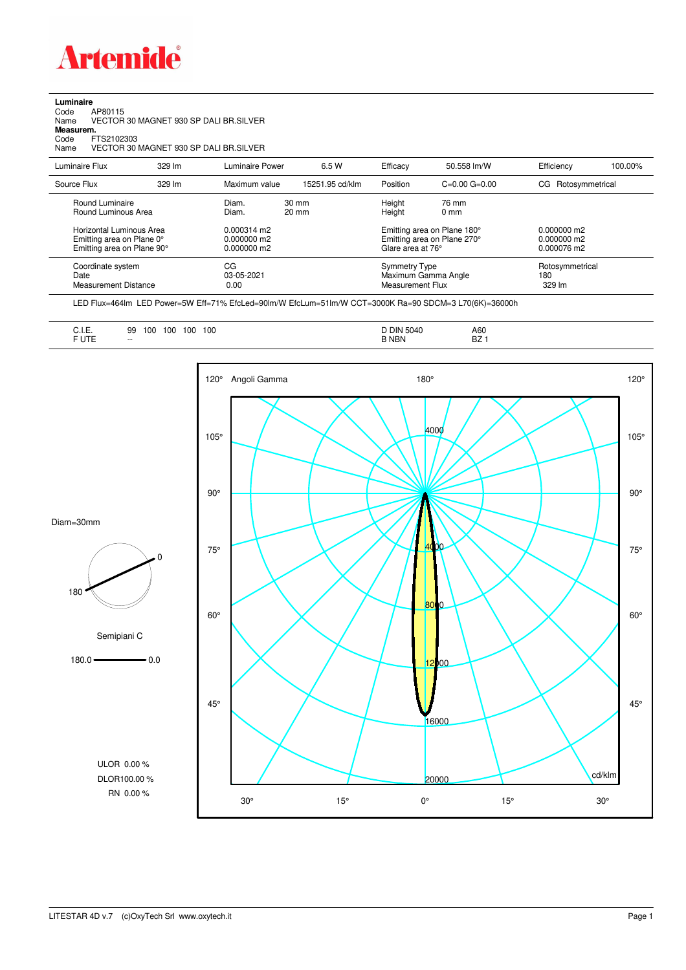

**Luminaire**<br>Code<br>Name Code AP80115 Name VECTOR 30 MAGNET 930 SP DALI BR.SILVER

**Measurem.**

Code FTS2102303 Name VECTOR 30 MAGNET 930 SP DALI BR.SILVER

| Luminaire Flux                                                                                                                | 329 lm | Luminaire Power                                                 | 6.5 W                              | Efficacy | 50.558 lm/W                                                                                                                    | Efficiency         | 100.00%         |
|-------------------------------------------------------------------------------------------------------------------------------|--------|-----------------------------------------------------------------|------------------------------------|----------|--------------------------------------------------------------------------------------------------------------------------------|--------------------|-----------------|
| Source Flux                                                                                                                   | 329 lm | Maximum value                                                   | 15251.95 cd/klm                    | Position | $C=0.00$ $G=0.00$                                                                                                              | CG Rotosymmetrical |                 |
| Round Luminaire<br>Round Luminous Area<br>Horizontal Luminous Area<br>Emitting area on Plane 0°<br>Emitting area on Plane 90° |        | Diam.<br>Diam.<br>0.000314 m2<br>$0.000000$ m2<br>$0.000000$ m2 | $30 \text{ mm}$<br>$20 \text{ mm}$ |          | Height<br>76 mm<br>Height<br>$0 \text{ mm}$<br>Emitting area on Plane 180°<br>Emitting area on Plane 270°<br>Glare area at 76° |                    |                 |
| Coordinate system<br>Date<br><b>Measurement Distance</b>                                                                      |        | CG<br>03-05-2021<br>0.00                                        |                                    |          | <b>Symmetry Type</b><br>Maximum Gamma Angle<br>Measurement Flux                                                                |                    | Rotosymmetrical |

LED Flux=464lm LED Power=5W Eff=71% EfcLed=90lm/W EfcLum=51lm/W CCT=3000K Ra=90 SDCM=3 L70(6K)=36000h